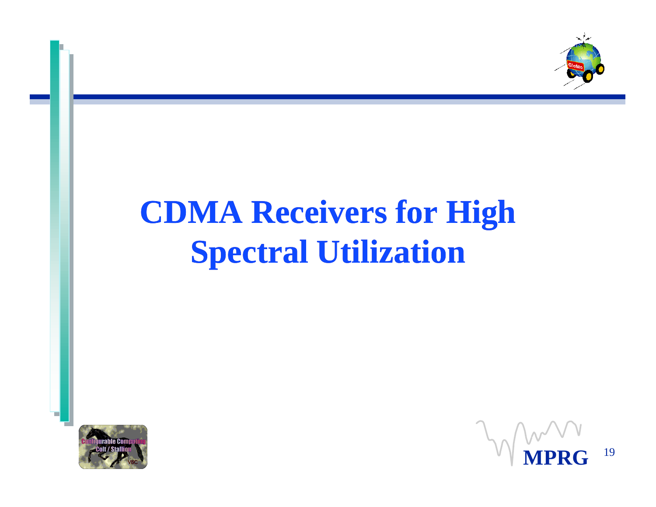

## **CDMA Receivers for High Spectral Utilization**



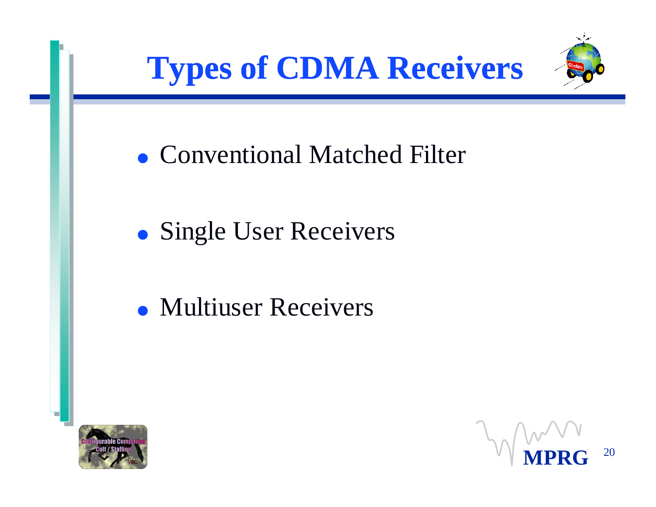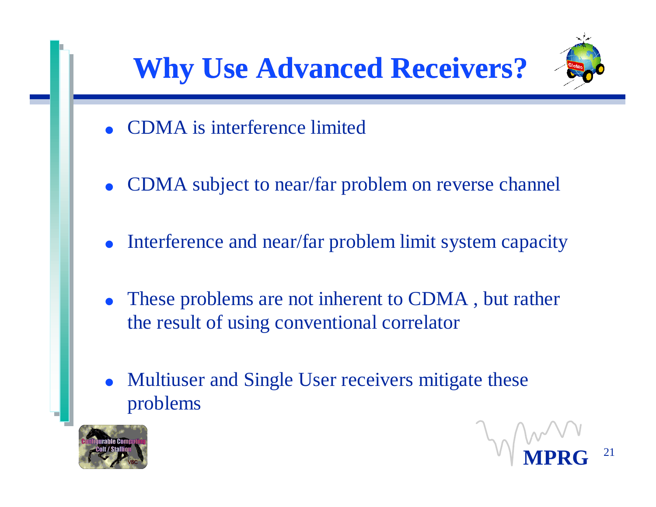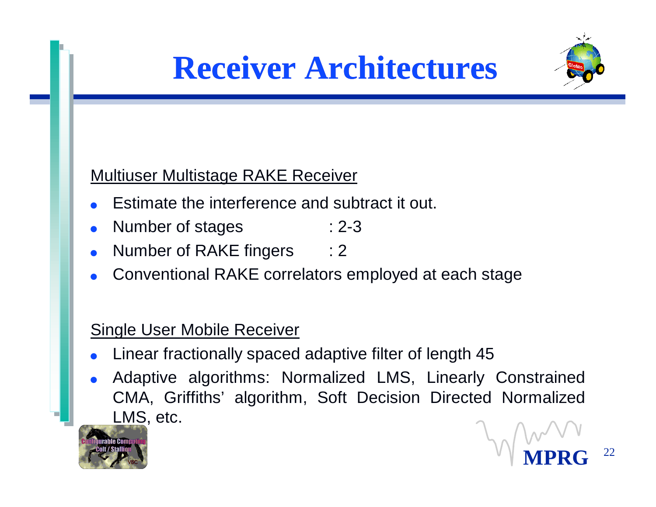



#### Multiuser Multistage RAKE Receiver

- Estimate the interference and subtract it out.
- Number of stages : 2-3
- Number of RAKE fingers : 2
- Conventional RAKE correlators employed at each stage

### Single User Mobile Receiver

- Linear fractionally spaced adaptive filter of length 45
- Adaptive algorithms: Normalized LMS, Linearly Constrained CMA, Griffiths' algorithm, Soft Decision Directed Normalized LMS, etc.



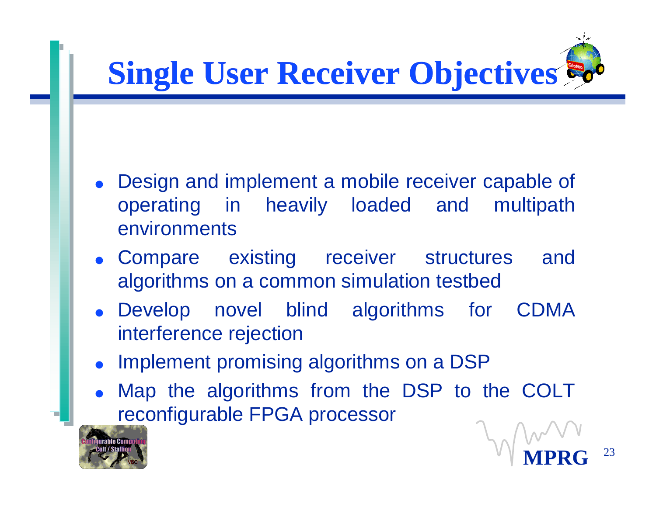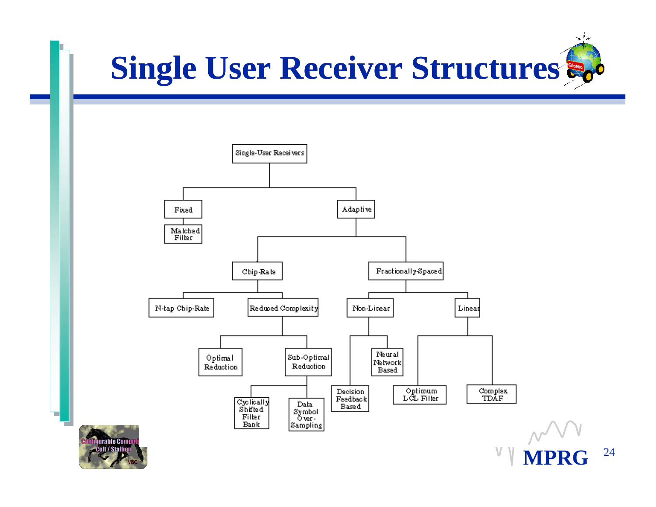





**MPRG** <sup>24</sup>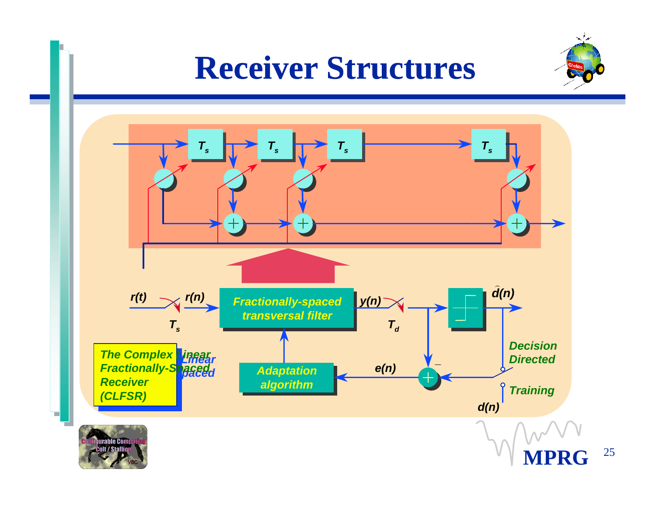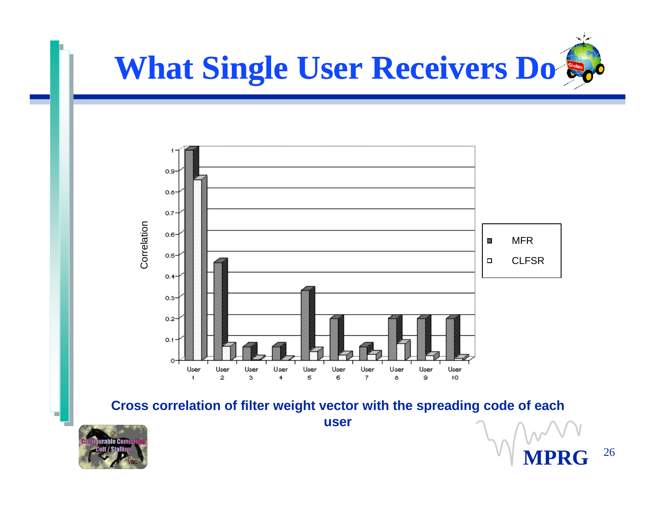



**Cross correlation of filter weight vector with the spreading code of each user**



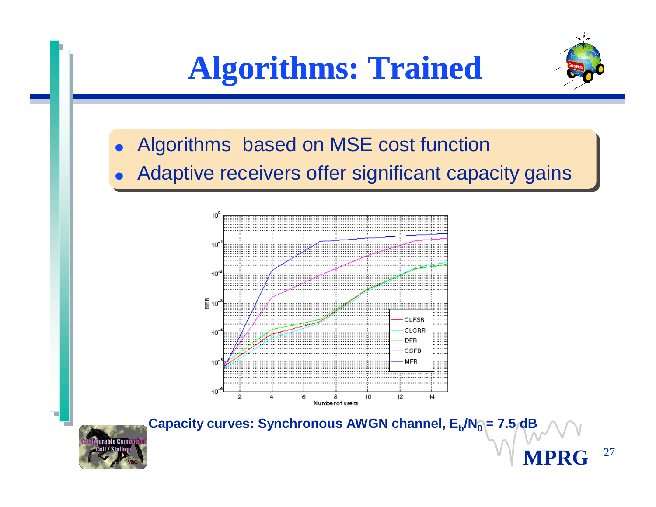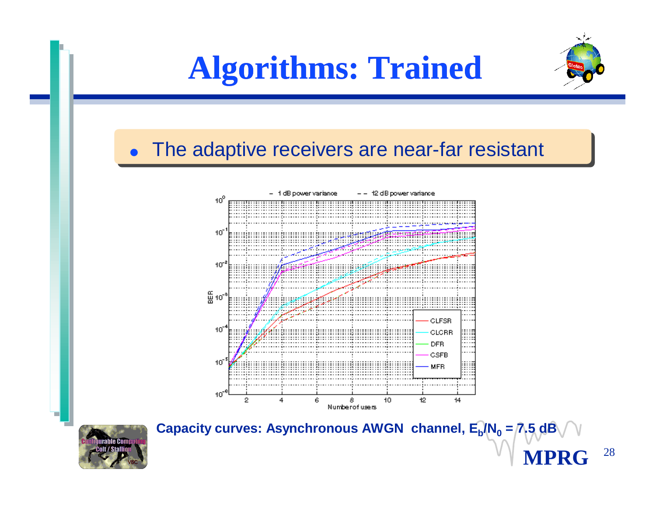



**MPRG** <sup>28</sup>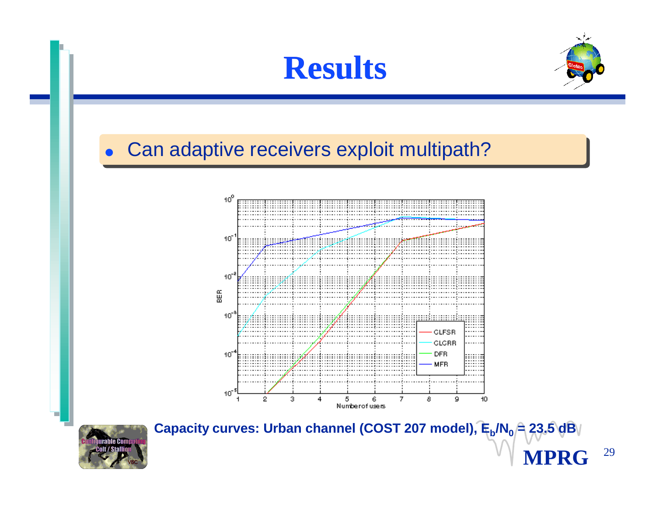



**MPRG** <sup>29</sup>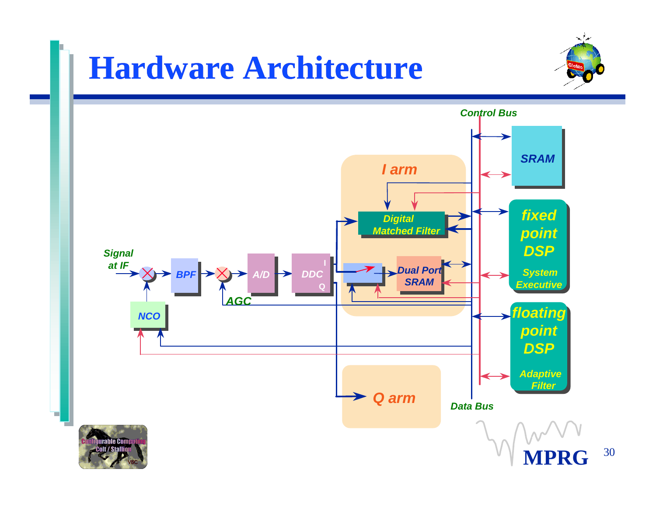# **Hardware Architecture**



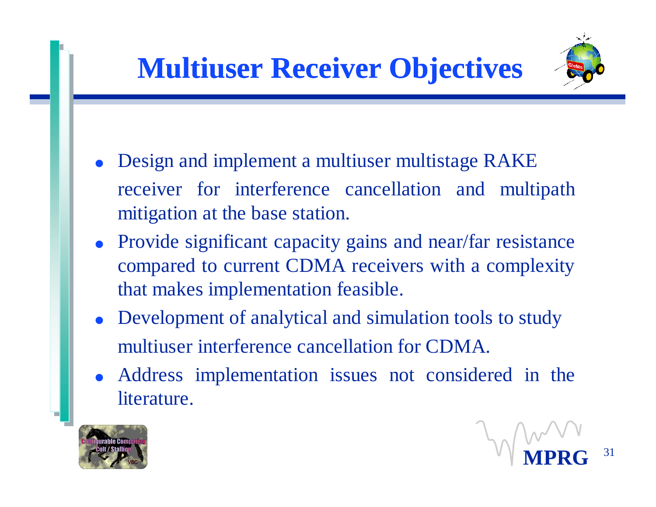

- Design and implement a multiuser multistage RAKE receiver for interference cancellation and multipath mitigation at the base station.
- Provide significant capacity gains and near/far resistance compared to current CDMA receivers with a complexity that makes implementation feasible.
- Development of analytical and simulation tools to study multiuser interference cancellation for CDMA.
- <sup>l</sup> Address implementation issues not considered in the literature.



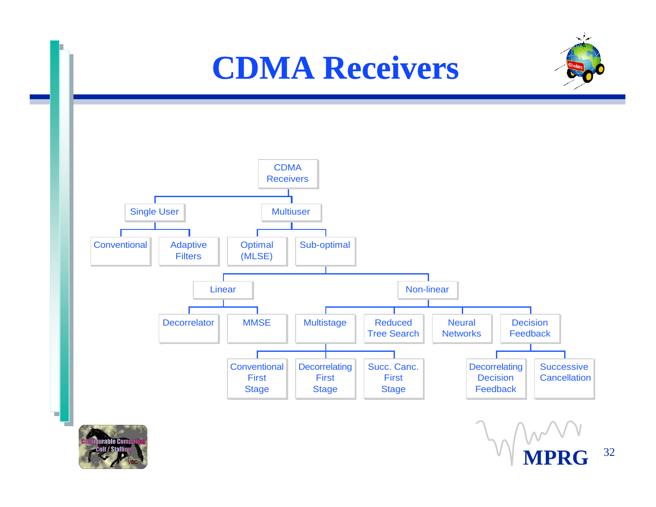



**MPRG** <sup>32</sup>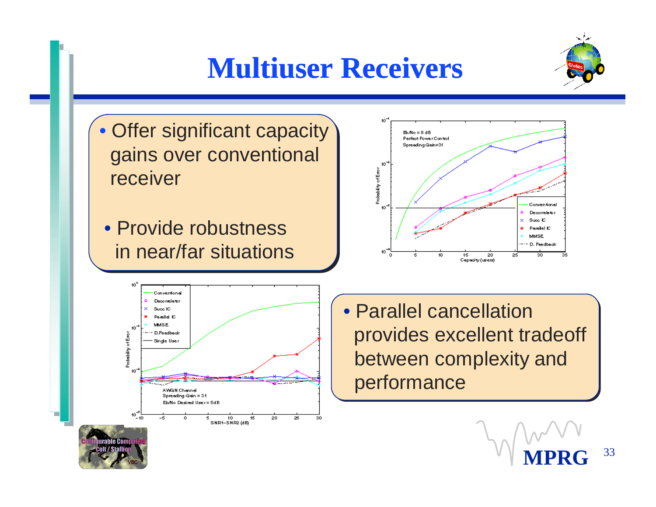### **Multiuser Receivers**



- Offer significant capacity gains over conventional receiver
- Provide robustness in near/far situations





•Parallel cancellation provides excellent tradeoff between complexity and performance

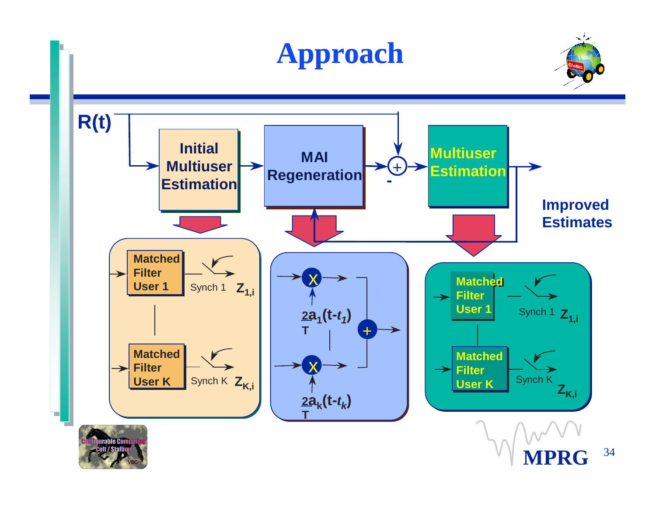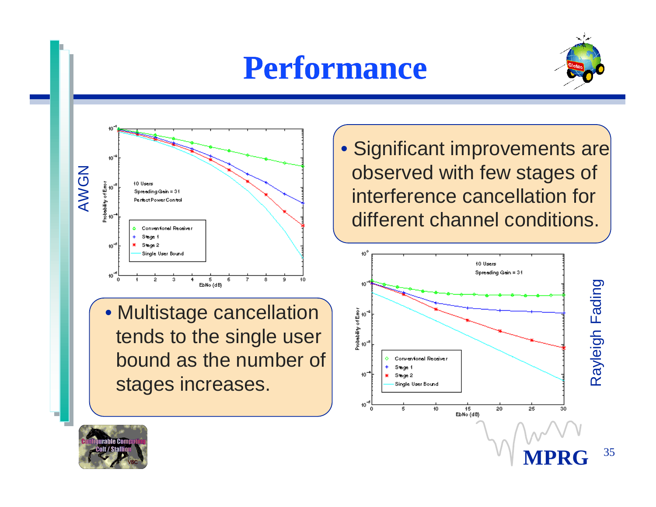## **Performance**





•Multistage cancellation tends to the single user bound as the number of stages increases.

• Significant improvements are observed with few stages of interference cancellation for different channel conditions.